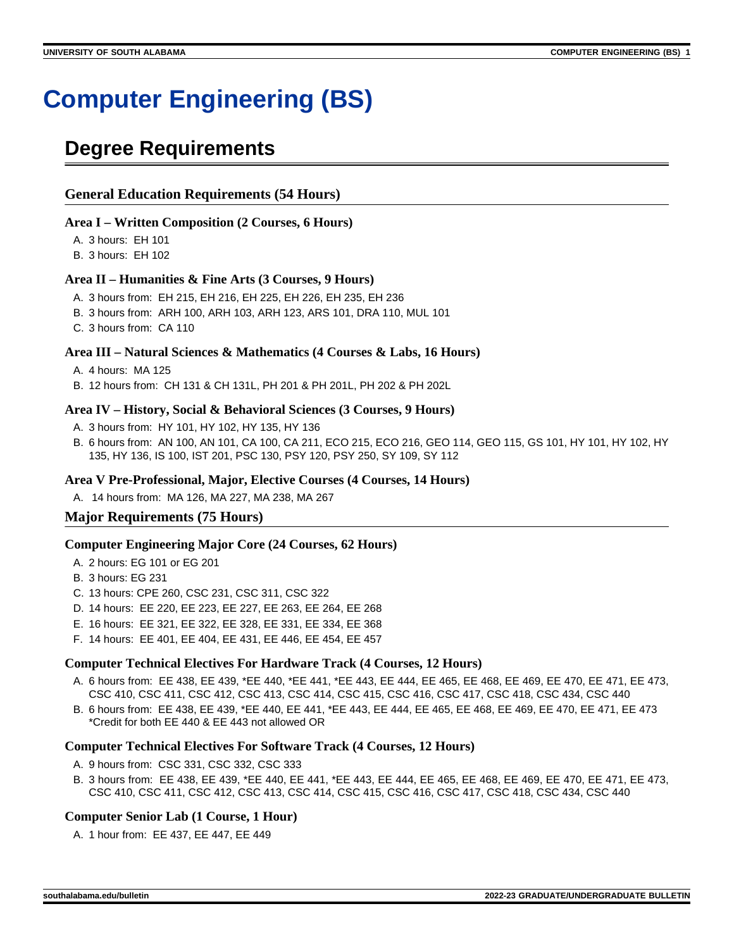# **Computer Engineering (BS)**

## **Degree Requirements**

#### **General Education Requirements (54 Hours)**

#### **Area I – Written Composition (2 Courses, 6 Hours)**

A. 3 hours: EH 101

B. 3 hours: EH 102

#### **Area II – Humanities & Fine Arts (3 Courses, 9 Hours)**

- A. 3 hours from: EH 215, EH 216, EH 225, EH 226, EH 235, EH 236
- B. 3 hours from: ARH 100, ARH 103, ARH 123, ARS 101, DRA 110, MUL 101
- C. 3 hours from: CA 110

#### **Area III – Natural Sciences & Mathematics (4 Courses & Labs, 16 Hours)**

- A. 4 hours: MA 125
- B. 12 hours from: CH 131 & CH 131L, PH 201 & PH 201L, PH 202 & PH 202L

#### **Area IV – History, Social & Behavioral Sciences (3 Courses, 9 Hours)**

- A. 3 hours from: HY 101, HY 102, HY 135, HY 136
- B. 6 hours from: AN 100, AN 101, CA 100, CA 211, ECO 215, ECO 216, GEO 114, GEO 115, GS 101, HY 101, HY 102, HY 135, HY 136, IS 100, IST 201, PSC 130, PSY 120, PSY 250, SY 109, SY 112

#### **Area V Pre-Professional, Major, Elective Courses (4 Courses, 14 Hours)**

A. 14 hours from: MA 126, MA 227, MA 238, MA 267

#### **Major Requirements (75 Hours)**

#### **Computer Engineering Major Core (24 Courses, 62 Hours)**

- A. 2 hours: EG 101 or EG 201
- B. 3 hours: EG 231
- C. 13 hours: CPE 260, CSC 231, CSC 311, CSC 322
- D. 14 hours: EE 220, EE 223, EE 227, EE 263, EE 264, EE 268
- E. 16 hours: EE 321, EE 322, EE 328, EE 331, EE 334, EE 368
- F. 14 hours: EE 401, EE 404, EE 431, EE 446, EE 454, EE 457

#### **Computer Technical Electives For Hardware Track (4 Courses, 12 Hours)**

- A. 6 hours from: EE 438, EE 439, \*EE 440, \*EE 441, \*EE 443, EE 444, EE 465, EE 468, EE 469, EE 470, EE 471, EE 473, CSC 410, CSC 411, CSC 412, CSC 413, CSC 414, CSC 415, CSC 416, CSC 417, CSC 418, CSC 434, CSC 440
- B. 6 hours from: EE 438, EE 439, \*EE 440, EE 441, \*EE 443, EE 444, EE 465, EE 468, EE 469, EE 470, EE 471, EE 473 \*Credit for both EE 440 & EE 443 not allowed OR

#### **Computer Technical Electives For Software Track (4 Courses, 12 Hours)**

- A. 9 hours from: CSC 331, CSC 332, CSC 333
- B. 3 hours from: EE 438, EE 439, \*EE 440, EE 441, \*EE 443, EE 444, EE 465, EE 468, EE 469, EE 470, EE 471, EE 473, CSC 410, CSC 411, CSC 412, CSC 413, CSC 414, CSC 415, CSC 416, CSC 417, CSC 418, CSC 434, CSC 440

#### **Computer Senior Lab (1 Course, 1 Hour)**

A. 1 hour from: EE 437, EE 447, EE 449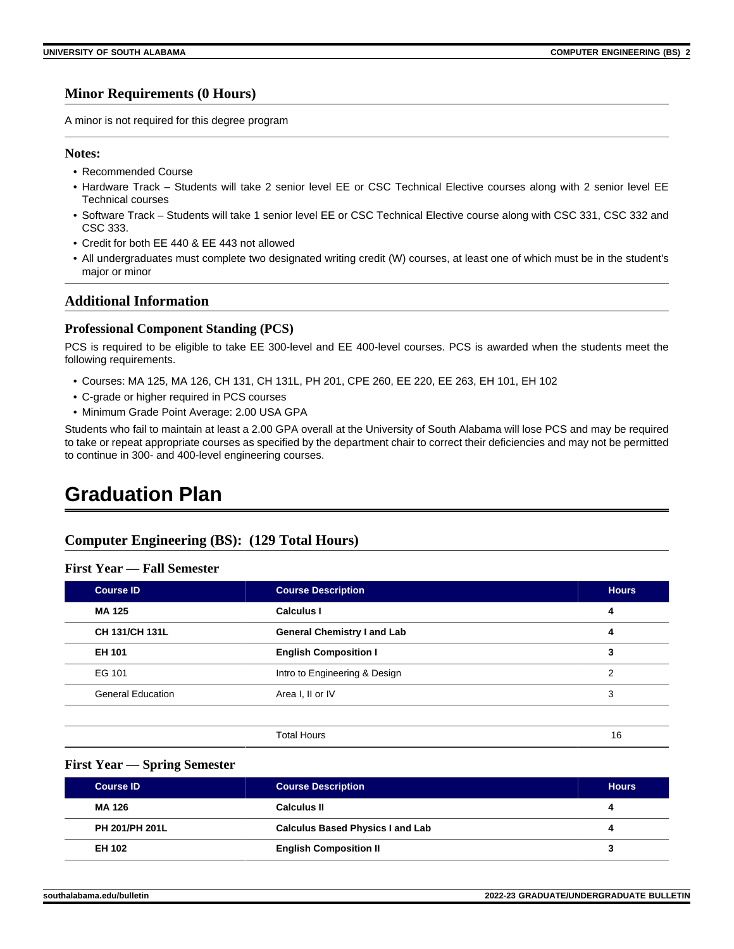#### **Minor Requirements (0 Hours)**

A minor is not required for this degree program

#### **Notes:**

- Recommended Course
- Hardware Track Students will take 2 senior level EE or CSC Technical Elective courses along with 2 senior level EE Technical courses
- Software Track Students will take 1 senior level EE or CSC Technical Elective course along with CSC 331, CSC 332 and CSC 333.
- Credit for both EE 440 & EE 443 not allowed
- All undergraduates must complete two designated writing credit (W) courses, at least one of which must be in the student's major or minor

#### **Additional Information**

#### **Professional Component Standing (PCS)**

PCS is required to be eligible to take EE 300-level and EE 400-level courses. PCS is awarded when the students meet the following requirements.

- Courses: MA 125, MA 126, CH 131, CH 131L, PH 201, CPE 260, EE 220, EE 263, EH 101, EH 102
- C-grade or higher required in PCS courses
- Minimum Grade Point Average: 2.00 USA GPA

Students who fail to maintain at least a 2.00 GPA overall at the University of South Alabama will lose PCS and may be required to take or repeat appropriate courses as specified by the department chair to correct their deficiencies and may not be permitted to continue in 300- and 400-level engineering courses.

### **Graduation Plan**

#### **Computer Engineering (BS): (129 Total Hours)**

#### **First Year — Fall Semester**

| <b>Course ID</b>         | <b>Course Description</b>          | <b>Hours</b>  |
|--------------------------|------------------------------------|---------------|
| MA 125                   | <b>Calculus I</b>                  | 4             |
| <b>CH 131/CH 131L</b>    | <b>General Chemistry I and Lab</b> | 4             |
| <b>EH 101</b>            | <b>English Composition I</b>       | 3             |
| EG 101                   | Intro to Engineering & Design      | $\mathcal{P}$ |
| <b>General Education</b> | Area I, II or IV                   | 3             |

#### **First Year — Spring Semester**

| <b>Course ID</b>      | <b>Course Description</b>               | <b>Hours</b> |
|-----------------------|-----------------------------------------|--------------|
| MA 126                | <b>Calculus II</b>                      |              |
| <b>PH 201/PH 201L</b> | <b>Calculus Based Physics I and Lab</b> |              |
| EH 102                | <b>English Composition II</b>           |              |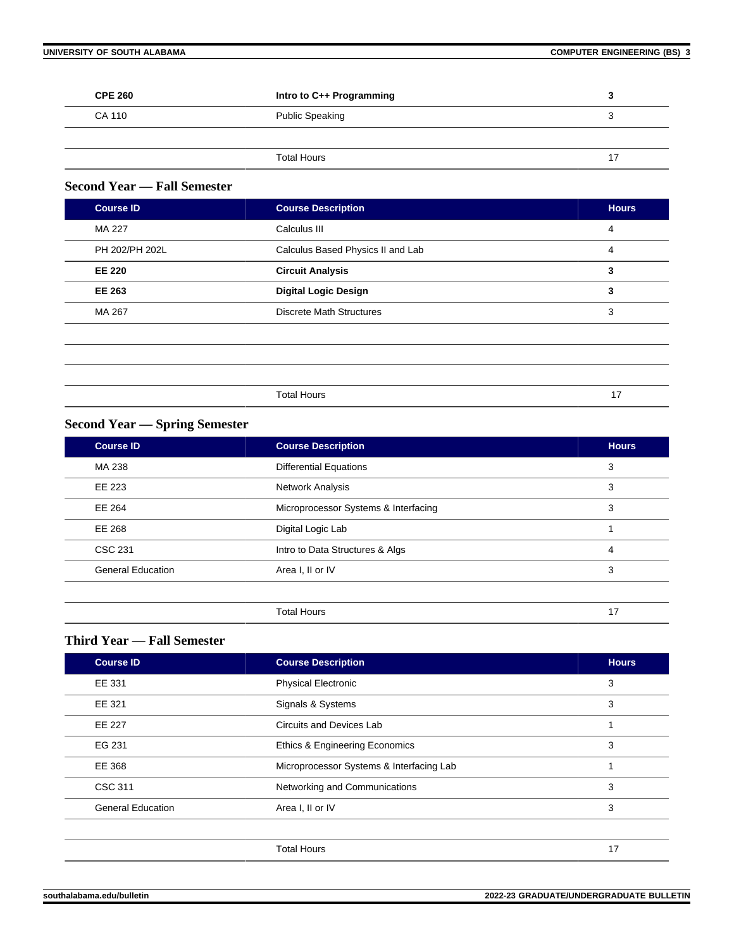| <b>CPE 260</b> | Intro to C++ Programming |  |
|----------------|--------------------------|--|
| CA 110         | Public Speaking          |  |
|                |                          |  |
|                | <b>Total Hours</b>       |  |

#### **Second Year — Fall Semester**

| <b>Course ID</b> | <b>Course Description</b>         | <b>Hours</b> |
|------------------|-----------------------------------|--------------|
| MA 227           | Calculus III                      | 4            |
| PH 202/PH 202L   | Calculus Based Physics II and Lab | 4            |
| <b>EE 220</b>    | <b>Circuit Analysis</b>           | 3            |
| <b>EE 263</b>    | <b>Digital Logic Design</b>       | 3            |
| MA 267           | <b>Discrete Math Structures</b>   | 3            |
|                  |                                   |              |
|                  |                                   |              |
|                  |                                   |              |
|                  | <b>Total Hours</b>                | 17           |
|                  |                                   |              |

#### **Second Year — Spring Semester**

| <b>Course ID</b>         | <b>Course Description</b>            | <b>Hours</b> |
|--------------------------|--------------------------------------|--------------|
| MA 238                   | <b>Differential Equations</b>        | 3            |
| EE 223                   | Network Analysis                     | 3            |
| EE 264                   | Microprocessor Systems & Interfacing | 3            |
| EE 268                   | Digital Logic Lab                    |              |
| <b>CSC 231</b>           | Intro to Data Structures & Algs      | 4            |
| <b>General Education</b> | Area I, II or IV                     | 3            |
|                          |                                      |              |
|                          | <b>Total Hours</b>                   | 17           |

### **Third Year — Fall Semester**

| <b>Course ID</b>         | <b>Course Description</b>                | <b>Hours</b> |
|--------------------------|------------------------------------------|--------------|
| EE 331                   | <b>Physical Electronic</b>               | 3            |
| EE 321                   | Signals & Systems                        | 3            |
| <b>EE 227</b>            | Circuits and Devices Lab                 |              |
| EG 231                   | Ethics & Engineering Economics           | 3            |
| EE 368                   | Microprocessor Systems & Interfacing Lab |              |
| <b>CSC 311</b>           | Networking and Communications            | 3            |
| <b>General Education</b> | Area I, II or IV                         | 3            |
|                          |                                          |              |
|                          | <b>Total Hours</b>                       | 17           |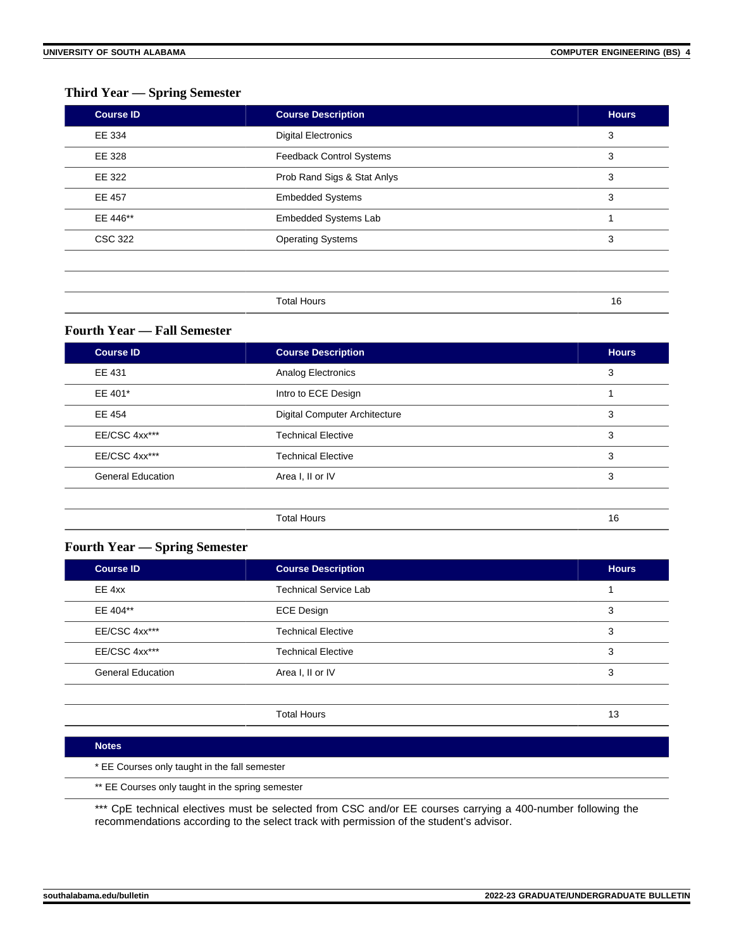#### **Third Year — Spring Semester**

| <b>Course ID</b> | <b>Course Description</b>       | <b>Hours</b> |
|------------------|---------------------------------|--------------|
| EE 334           | <b>Digital Electronics</b>      | 3            |
| EE 328           | <b>Feedback Control Systems</b> | 3            |
| EE 322           | Prob Rand Sigs & Stat Anlys     | 3            |
| <b>EE 457</b>    | <b>Embedded Systems</b>         | 3            |
| EE 446**         | <b>Embedded Systems Lab</b>     |              |
| <b>CSC 322</b>   | <b>Operating Systems</b>        | 3            |
|                  |                                 |              |
|                  |                                 |              |
|                  | <b>Total Hours</b>              | 16           |

#### **Fourth Year — Fall Semester**

| <b>Course ID</b>         | <b>Course Description</b>            | <b>Hours</b> |
|--------------------------|--------------------------------------|--------------|
| EE 431                   | Analog Electronics                   | 3            |
| EE 401*                  | Intro to ECE Design                  |              |
| EE 454                   | <b>Digital Computer Architecture</b> | 3            |
| EE/CSC 4xx***            | <b>Technical Elective</b>            | 3            |
| EE/CSC 4xx***            | <b>Technical Elective</b>            | 3            |
| <b>General Education</b> | Area I, II or IV                     | 3            |
|                          |                                      |              |
|                          | <b>Total Hours</b>                   | 16           |

#### **Fourth Year — Spring Semester**

| <b>Course ID</b>         | <b>Course Description</b>    | <b>Hours</b> |
|--------------------------|------------------------------|--------------|
| EE 4xx                   | <b>Technical Service Lab</b> |              |
| EE 404**                 | <b>ECE Design</b>            | 3            |
| EE/CSC 4xx***            | <b>Technical Elective</b>    | 3            |
| EE/CSC 4xx***            | <b>Technical Elective</b>    | 3            |
| <b>General Education</b> | Area I, II or IV             | 3            |
|                          |                              |              |

Total Hours 13

#### **Notes**

\* EE Courses only taught in the fall semester

\*\* EE Courses only taught in the spring semester

\*\*\* CpE technical electives must be selected from CSC and/or EE courses carrying a 400-number following the recommendations according to the select track with permission of the student's advisor.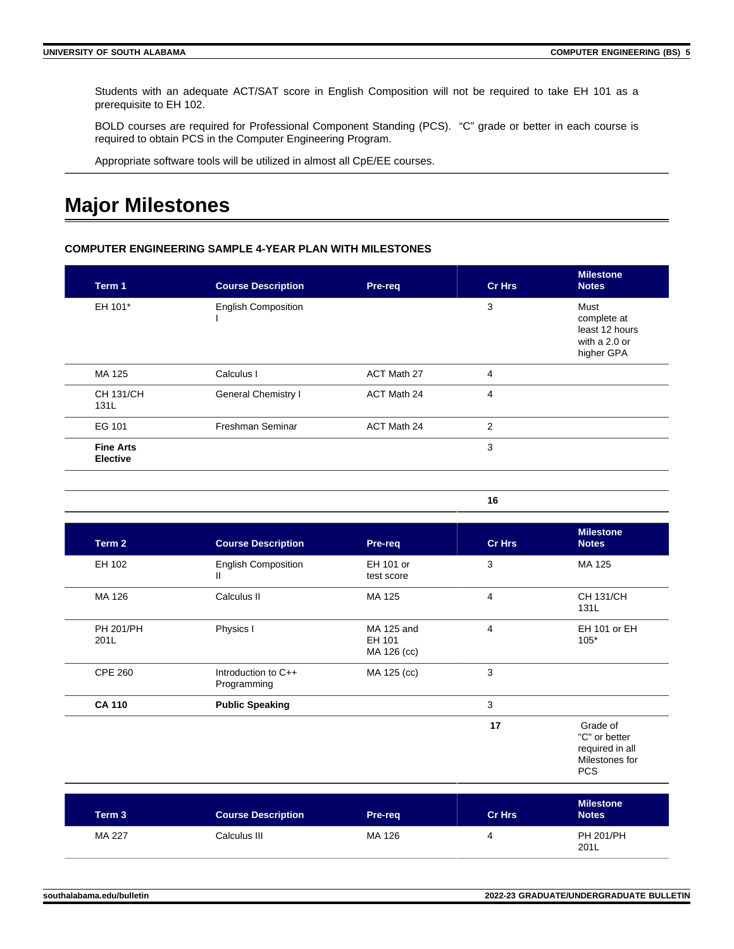Students with an adequate ACT/SAT score in English Composition will not be required to take EH 101 as a prerequisite to EH 102.

BOLD courses are required for Professional Component Standing (PCS). "C" grade or better in each course is required to obtain PCS in the Computer Engineering Program.

Appropriate software tools will be utilized in almost all CpE/EE courses.

### **Major Milestones**

#### **COMPUTER ENGINEERING SAMPLE 4-YEAR PLAN WITH MILESTONES**

| Term 1                              | <b>Course Description</b>  | Pre-req                                    | <b>Cr Hrs</b>  | <b>Milestone</b><br><b>Notes</b>                                     |
|-------------------------------------|----------------------------|--------------------------------------------|----------------|----------------------------------------------------------------------|
| EH 101*                             | <b>English Composition</b> |                                            | 3              | Must<br>complete at<br>least 12 hours<br>with a 2.0 or<br>higher GPA |
| MA 125                              | Calculus I                 | ACT Math 27                                | 4              |                                                                      |
| <b>CH 131/CH</b><br>131L            | General Chemistry I        | ACT Math 24                                | $\overline{4}$ |                                                                      |
| EG 101                              | Freshman Seminar           | ACT Math 24                                | $\overline{2}$ |                                                                      |
| <b>Fine Arts</b><br><b>Elective</b> |                            |                                            | 3              |                                                                      |
|                                     |                            |                                            | 16             |                                                                      |
| . .                                 |                            | <b>Contract Contract Contract Contract</b> | - - -          | <b>Milestone</b><br><b>Bank College College</b>                      |

| Term 2                   | <b>Course Description</b>          | Pre-req                             | <b>Cr Hrs</b> | <b>Notes</b>                                                                 |
|--------------------------|------------------------------------|-------------------------------------|---------------|------------------------------------------------------------------------------|
| EH 102                   | <b>English Composition</b><br>Ш    | EH 101 or<br>test score             | 3             | MA 125                                                                       |
| MA 126                   | Calculus II                        | MA 125                              | 4             | CH 131/CH<br>131L                                                            |
| <b>PH 201/PH</b><br>201L | Physics I                          | MA 125 and<br>EH 101<br>MA 126 (cc) | 4             | EH 101 or EH<br>$105*$                                                       |
| <b>CPE 260</b>           | Introduction to C++<br>Programming | MA 125 (cc)                         | 3             |                                                                              |
| <b>CA 110</b>            | <b>Public Speaking</b>             |                                     | 3             |                                                                              |
|                          |                                    |                                     | 17            | Grade of<br>"C" or better<br>required in all<br>Milestones for<br><b>PCS</b> |

| Term 3 | <b>Course Description</b> | Pre-reg | <b>Cr Hrs</b> | <b>Milestone</b><br><b>Notes</b> |
|--------|---------------------------|---------|---------------|----------------------------------|
| MA 227 | Calculus III              | MA 126  | 4             | <b>PH 201/PH</b><br>201L         |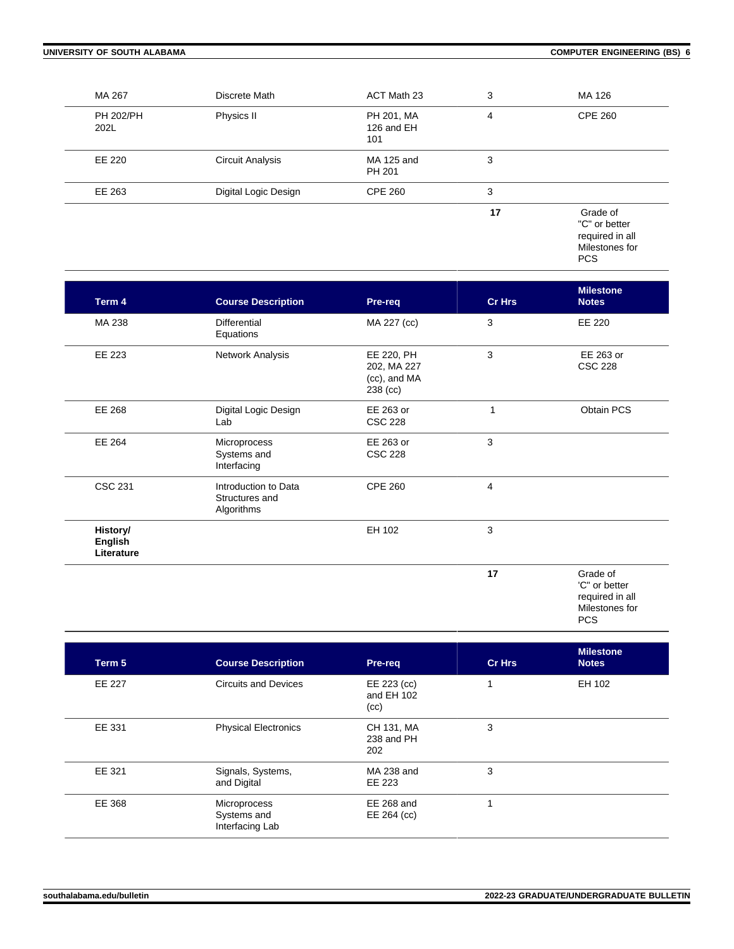| MA 267                   | Discrete Math           | ACT Math 23                     | 3  | MA 126                                                                       |
|--------------------------|-------------------------|---------------------------------|----|------------------------------------------------------------------------------|
| <b>PH 202/PH</b><br>202L | Physics II              | PH 201, MA<br>126 and EH<br>101 | 4  | <b>CPE 260</b>                                                               |
| EE 220                   | <b>Circuit Analysis</b> | MA 125 and<br>PH 201            | 3  |                                                                              |
| EE 263                   | Digital Logic Design    | <b>CPE 260</b>                  | 3  |                                                                              |
|                          |                         |                                 | 17 | Grade of<br>"C" or better<br>required in all<br>Milestones for<br><b>PCS</b> |

| Term 4                                   | <b>Course Description</b>                            | Pre-req                                               | <b>Cr Hrs</b> | <b>Milestone</b><br><b>Notes</b>             |
|------------------------------------------|------------------------------------------------------|-------------------------------------------------------|---------------|----------------------------------------------|
| MA 238                                   | <b>Differential</b><br>Equations                     | MA 227 (cc)                                           | 3             | EE 220                                       |
| EE 223                                   | Network Analysis                                     | EE 220, PH<br>202, MA 227<br>(cc), and MA<br>238 (cc) | 3             | EE 263 or<br><b>CSC 228</b>                  |
| EE 268                                   | Digital Logic Design<br>Lab                          | EE 263 or<br><b>CSC 228</b>                           | 1             | Obtain PCS                                   |
| EE 264                                   | Microprocess<br>Systems and<br>Interfacing           | EE 263 or<br><b>CSC 228</b>                           | 3             |                                              |
| <b>CSC 231</b>                           | Introduction to Data<br>Structures and<br>Algorithms | <b>CPE 260</b>                                        | 4             |                                              |
| History/<br><b>English</b><br>Literature |                                                      | EH 102                                                | 3             |                                              |
|                                          |                                                      |                                                       | 17            | Grade of<br>'C" or better<br>required in all |

Milestones for

PCS

| Term 5 | <b>Course Description</b>                      | Pre-req                           | <b>Cr Hrs</b> | <b>Milestone</b><br><b>Notes</b> |
|--------|------------------------------------------------|-----------------------------------|---------------|----------------------------------|
| EE 227 | <b>Circuits and Devices</b>                    | EE 223 (cc)<br>and EH 102<br>(cc) |               | EH 102                           |
| EE 331 | <b>Physical Electronics</b>                    | CH 131, MA<br>238 and PH<br>202   | 3             |                                  |
| EE 321 | Signals, Systems,<br>and Digital               | MA 238 and<br>EE 223              | 3             |                                  |
| EE 368 | Microprocess<br>Systems and<br>Interfacing Lab | EE 268 and<br>EE 264 (cc)         |               |                                  |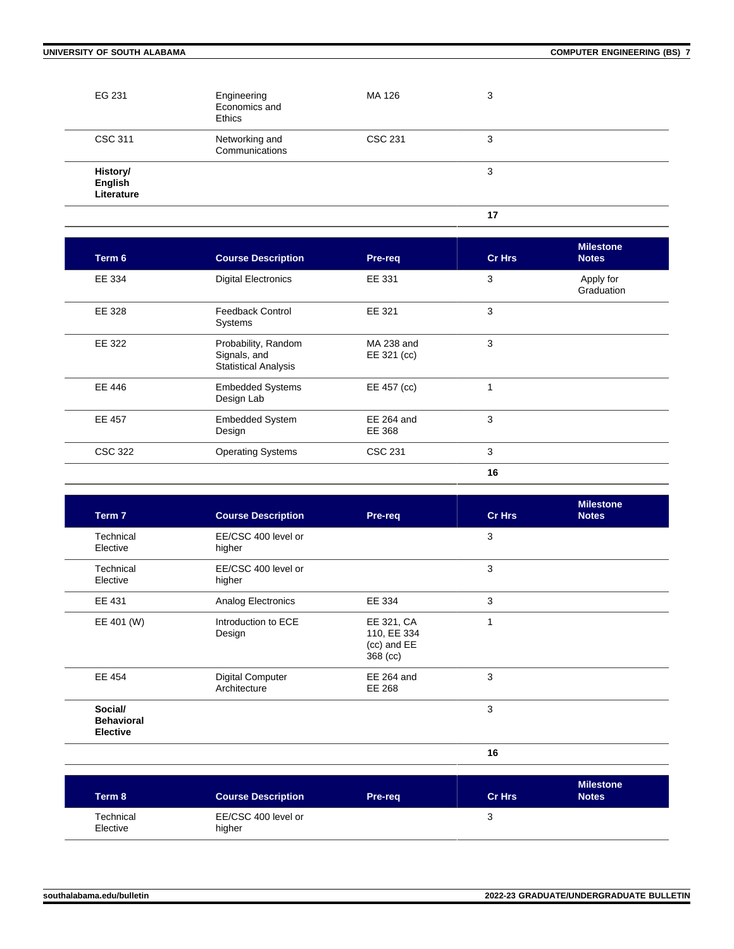| EG 231                            | Engineering<br>Economics and<br><b>Ethics</b> | MA 126  | 3  |  |
|-----------------------------------|-----------------------------------------------|---------|----|--|
| <b>CSC 311</b>                    | Networking and<br>Communications              | CSC 231 | 3  |  |
| History/<br>English<br>Literature |                                               |         | 3  |  |
|                                   |                                               |         | 17 |  |

| Term 6         | <b>Course Description</b>                                          | Pre-req                     | Cr Hrs | <b>Milestone</b><br><b>Notes</b> |
|----------------|--------------------------------------------------------------------|-----------------------------|--------|----------------------------------|
| EE 334         | <b>Digital Electronics</b>                                         | EE 331                      | 3      | Apply for<br>Graduation          |
| EE 328         | <b>Feedback Control</b><br>Systems                                 | EE 321                      | 3      |                                  |
| EE 322         | Probability, Random<br>Signals, and<br><b>Statistical Analysis</b> | MA 238 and<br>EE 321 (cc)   | 3      |                                  |
| EE 446         | <b>Embedded Systems</b><br>Design Lab                              | EE 457 (cc)                 | 1      |                                  |
| <b>EE 457</b>  | <b>Embedded System</b><br>Design                                   | <b>EE 264 and</b><br>EE 368 | 3      |                                  |
| <b>CSC 322</b> | <b>Operating Systems</b>                                           | CSC 231                     | 3      |                                  |
|                |                                                                    |                             | 16     |                                  |

| Term 7                                          | <b>Course Description</b>               | Pre-req                                              | <b>Cr Hrs</b> | <b>Milestone</b><br><b>Notes</b> |
|-------------------------------------------------|-----------------------------------------|------------------------------------------------------|---------------|----------------------------------|
| Technical<br>Elective                           | EE/CSC 400 level or<br>higher           |                                                      | 3             |                                  |
| Technical<br>Elective                           | EE/CSC 400 level or<br>higher           |                                                      | 3             |                                  |
| EE 431                                          | Analog Electronics                      | EE 334                                               | 3             |                                  |
| EE 401 (W)                                      | Introduction to ECE<br>Design           | EE 321, CA<br>110, EE 334<br>(cc) and EE<br>368 (cc) | 1             |                                  |
| EE 454                                          | <b>Digital Computer</b><br>Architecture | EE 264 and<br>EE 268                                 | 3             |                                  |
| Social/<br><b>Behavioral</b><br><b>Elective</b> |                                         |                                                      | 3             |                                  |
|                                                 |                                         |                                                      | 16            |                                  |

| Term 8                | <b>Course Description</b>     | <b>Pre-reg</b> | <b>Cr Hrs</b> | <b>Milestone</b><br><b>Notes</b> |
|-----------------------|-------------------------------|----------------|---------------|----------------------------------|
| Technical<br>Elective | EE/CSC 400 level or<br>higher |                | u             |                                  |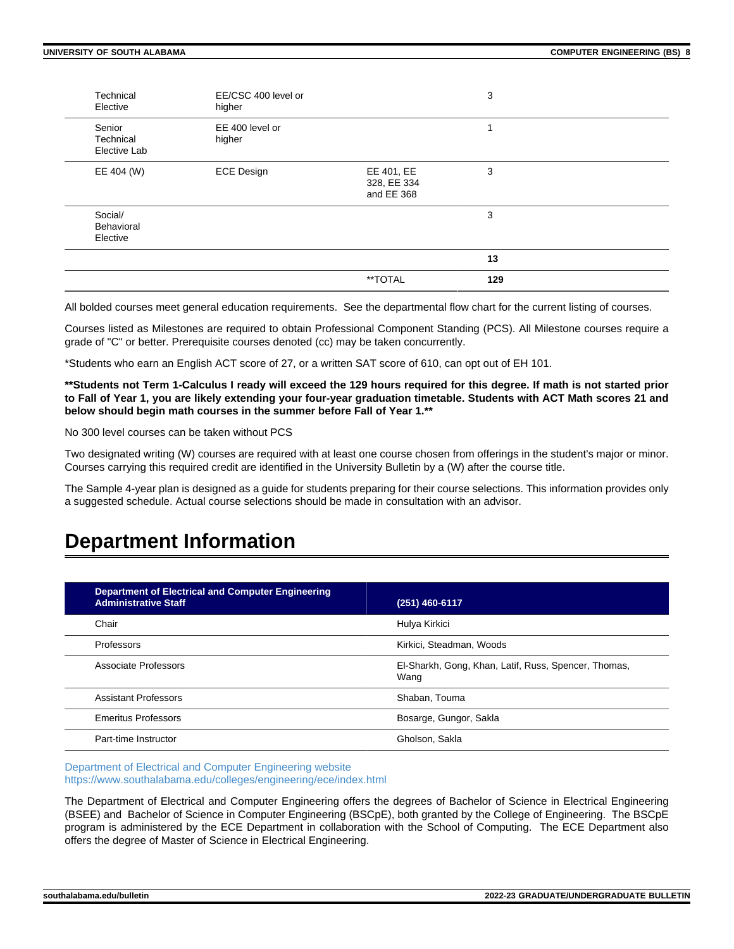| Technical<br>Elective               | EE/CSC 400 level or<br>higher |                                         | 3   |  |
|-------------------------------------|-------------------------------|-----------------------------------------|-----|--|
| Senior<br>Technical<br>Elective Lab | EE 400 level or<br>higher     |                                         | 1   |  |
| EE 404 (W)                          | <b>ECE Design</b>             | EE 401, EE<br>328, EE 334<br>and EE 368 | 3   |  |
| Social/<br>Behavioral<br>Elective   |                               |                                         | 3   |  |
|                                     |                               |                                         | 13  |  |
|                                     |                               | **TOTAL                                 | 129 |  |

All bolded courses meet general education requirements. See the departmental flow chart for the current listing of courses.

Courses listed as Milestones are required to obtain Professional Component Standing (PCS). All Milestone courses require a grade of "C" or better. Prerequisite courses denoted (cc) may be taken concurrently.

\*Students who earn an English ACT score of 27, or a written SAT score of 610, can opt out of EH 101.

**\*\*Students not Term 1-Calculus I ready will exceed the 129 hours required for this degree. If math is not started prior to Fall of Year 1, you are likely extending your four-year graduation timetable. Students with ACT Math scores 21 and below should begin math courses in the summer before Fall of Year 1.\*\***

No 300 level courses can be taken without PCS

Two designated writing (W) courses are required with at least one course chosen from offerings in the student's major or minor. Courses carrying this required credit are identified in the University Bulletin by a (W) after the course title.

The Sample 4-year plan is designed as a guide for students preparing for their course selections. This information provides only a suggested schedule. Actual course selections should be made in consultation with an advisor.

### **Department Information**

| <b>Department of Electrical and Computer Engineering</b><br><b>Administrative Staff</b> | (251) 460-6117                                               |
|-----------------------------------------------------------------------------------------|--------------------------------------------------------------|
| Chair                                                                                   | Hulya Kirkici                                                |
| Professors                                                                              | Kirkici, Steadman, Woods                                     |
| Associate Professors                                                                    | El-Sharkh, Gong, Khan, Latif, Russ, Spencer, Thomas,<br>Wang |
| <b>Assistant Professors</b>                                                             | Shaban, Touma                                                |
| <b>Emeritus Professors</b>                                                              | Bosarge, Gungor, Sakla                                       |
| Part-time Instructor                                                                    | Gholson, Sakla                                               |

[Department of Electrical and Computer Engineering website](https://www.southalabama.edu/colleges/engineering/ece/index.html) <https://www.southalabama.edu/colleges/engineering/ece/index.html>

The Department of Electrical and Computer Engineering offers the degrees of Bachelor of Science in Electrical Engineering (BSEE) and Bachelor of Science in Computer Engineering (BSCpE), both granted by the College of Engineering. The BSCpE program is administered by the ECE Department in collaboration with the School of Computing. The ECE Department also offers the degree of Master of Science in Electrical Engineering.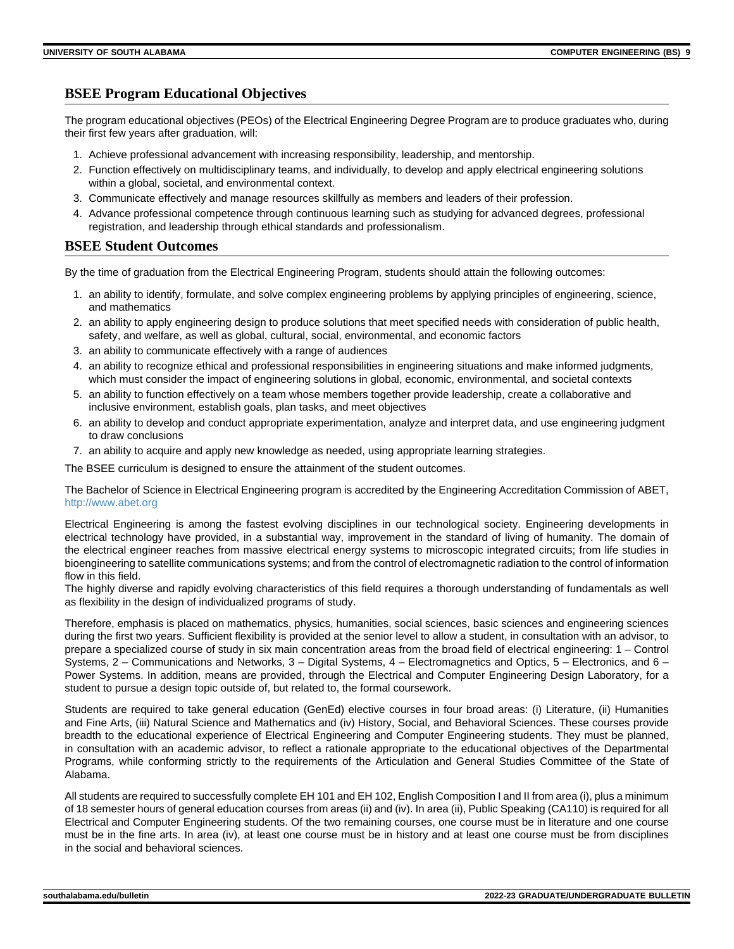#### **BSEE Program Educational Objectives**

The program educational objectives (PEOs) of the Electrical Engineering Degree Program are to produce graduates who, during their first few years after graduation, will:

- 1. Achieve professional advancement with increasing responsibility, leadership, and mentorship.
- 2. Function effectively on multidisciplinary teams, and individually, to develop and apply electrical engineering solutions within a global, societal, and environmental context.
- 3. Communicate effectively and manage resources skillfully as members and leaders of their profession.
- 4. Advance professional competence through continuous learning such as studying for advanced degrees, professional registration, and leadership through ethical standards and professionalism.

#### **BSEE Student Outcomes**

By the time of graduation from the Electrical Engineering Program, students should attain the following outcomes:

- 1. an ability to identify, formulate, and solve complex engineering problems by applying principles of engineering, science, and mathematics
- 2. an ability to apply engineering design to produce solutions that meet specified needs with consideration of public health, safety, and welfare, as well as global, cultural, social, environmental, and economic factors
- 3. an ability to communicate effectively with a range of audiences
- 4. an ability to recognize ethical and professional responsibilities in engineering situations and make informed judgments, which must consider the impact of engineering solutions in global, economic, environmental, and societal contexts
- 5. an ability to function effectively on a team whose members together provide leadership, create a collaborative and inclusive environment, establish goals, plan tasks, and meet objectives
- 6. an ability to develop and conduct appropriate experimentation, analyze and interpret data, and use engineering judgment to draw conclusions
- 7. an ability to acquire and apply new knowledge as needed, using appropriate learning strategies.

The BSEE curriculum is designed to ensure the attainment of the student outcomes.

The Bachelor of Science in Electrical Engineering program is accredited by the Engineering Accreditation Commission of ABET, <http://www.abet.org>

Electrical Engineering is among the fastest evolving disciplines in our technological society. Engineering developments in electrical technology have provided, in a substantial way, improvement in the standard of living of humanity. The domain of the electrical engineer reaches from massive electrical energy systems to microscopic integrated circuits; from life studies in bioengineering to satellite communications systems; and from the control of electromagnetic radiation to the control of information flow in this field.

The highly diverse and rapidly evolving characteristics of this field requires a thorough understanding of fundamentals as well as flexibility in the design of individualized programs of study.

Therefore, emphasis is placed on mathematics, physics, humanities, social sciences, basic sciences and engineering sciences during the first two years. Sufficient flexibility is provided at the senior level to allow a student, in consultation with an advisor, to prepare a specialized course of study in six main concentration areas from the broad field of electrical engineering: 1 – Control Systems, 2 – Communications and Networks, 3 – Digital Systems, 4 – Electromagnetics and Optics, 5 – Electronics, and 6 – Power Systems. In addition, means are provided, through the Electrical and Computer Engineering Design Laboratory, for a student to pursue a design topic outside of, but related to, the formal coursework.

Students are required to take general education (GenEd) elective courses in four broad areas: (i) Literature, (ii) Humanities and Fine Arts, (iii) Natural Science and Mathematics and (iv) History, Social, and Behavioral Sciences. These courses provide breadth to the educational experience of Electrical Engineering and Computer Engineering students. They must be planned, in consultation with an academic advisor, to reflect a rationale appropriate to the educational objectives of the Departmental Programs, while conforming strictly to the requirements of the Articulation and General Studies Committee of the State of Alabama.

All students are required to successfully complete EH 101 and EH 102, English Composition I and II from area (i), plus a minimum of 18 semester hours of general education courses from areas (ii) and (iv). In area (ii), Public Speaking (CA110) is required for all Electrical and Computer Engineering students. Of the two remaining courses, one course must be in literature and one course must be in the fine arts. In area (iv), at least one course must be in history and at least one course must be from disciplines in the social and behavioral sciences.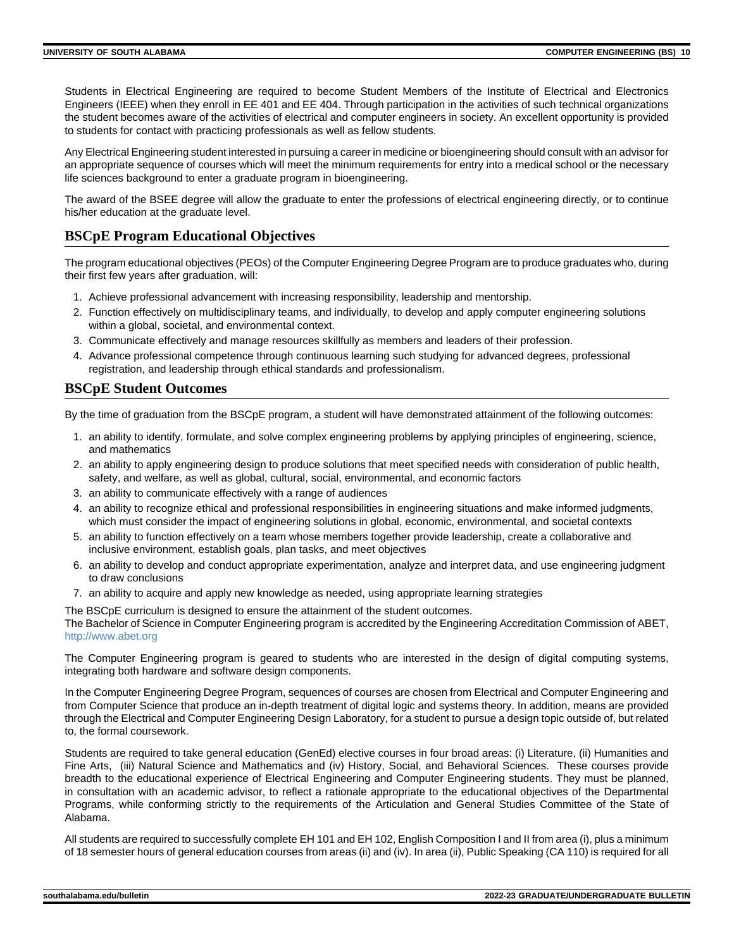Students in Electrical Engineering are required to become Student Members of the Institute of Electrical and Electronics Engineers (IEEE) when they enroll in EE 401 and EE 404. Through participation in the activities of such technical organizations the student becomes aware of the activities of electrical and computer engineers in society. An excellent opportunity is provided to students for contact with practicing professionals as well as fellow students.

Any Electrical Engineering student interested in pursuing a career in medicine or bioengineering should consult with an advisor for an appropriate sequence of courses which will meet the minimum requirements for entry into a medical school or the necessary life sciences background to enter a graduate program in bioengineering.

The award of the BSEE degree will allow the graduate to enter the professions of electrical engineering directly, or to continue his/her education at the graduate level.

#### **BSCpE Program Educational Objectives**

The program educational objectives (PEOs) of the Computer Engineering Degree Program are to produce graduates who, during their first few years after graduation, will:

- 1. Achieve professional advancement with increasing responsibility, leadership and mentorship.
- 2. Function effectively on multidisciplinary teams, and individually, to develop and apply computer engineering solutions within a global, societal, and environmental context.
- 3. Communicate effectively and manage resources skillfully as members and leaders of their profession.
- 4. Advance professional competence through continuous learning such studying for advanced degrees, professional registration, and leadership through ethical standards and professionalism.

#### **BSCpE Student Outcomes**

By the time of graduation from the BSCpE program, a student will have demonstrated attainment of the following outcomes:

- 1. an ability to identify, formulate, and solve complex engineering problems by applying principles of engineering, science, and mathematics
- 2. an ability to apply engineering design to produce solutions that meet specified needs with consideration of public health, safety, and welfare, as well as global, cultural, social, environmental, and economic factors
- 3. an ability to communicate effectively with a range of audiences
- 4. an ability to recognize ethical and professional responsibilities in engineering situations and make informed judgments, which must consider the impact of engineering solutions in global, economic, environmental, and societal contexts
- 5. an ability to function effectively on a team whose members together provide leadership, create a collaborative and inclusive environment, establish goals, plan tasks, and meet objectives
- 6. an ability to develop and conduct appropriate experimentation, analyze and interpret data, and use engineering judgment to draw conclusions
- 7. an ability to acquire and apply new knowledge as needed, using appropriate learning strategies

The BSCpE curriculum is designed to ensure the attainment of the student outcomes. The Bachelor of Science in Computer Engineering program is accredited by the Engineering Accreditation Commission of ABET, <http://www.abet.org>

The Computer Engineering program is geared to students who are interested in the design of digital computing systems, integrating both hardware and software design components.

In the Computer Engineering Degree Program, sequences of courses are chosen from Electrical and Computer Engineering and from Computer Science that produce an in-depth treatment of digital logic and systems theory. In addition, means are provided through the Electrical and Computer Engineering Design Laboratory, for a student to pursue a design topic outside of, but related to, the formal coursework.

Students are required to take general education (GenEd) elective courses in four broad areas: (i) Literature, (ii) Humanities and Fine Arts, (iii) Natural Science and Mathematics and (iv) History, Social, and Behavioral Sciences. These courses provide breadth to the educational experience of Electrical Engineering and Computer Engineering students. They must be planned, in consultation with an academic advisor, to reflect a rationale appropriate to the educational objectives of the Departmental Programs, while conforming strictly to the requirements of the Articulation and General Studies Committee of the State of Alabama.

All students are required to successfully complete EH 101 and EH 102, English Composition I and II from area (i), plus a minimum of 18 semester hours of general education courses from areas (ii) and (iv). In area (ii), Public Speaking (CA 110) is required for all